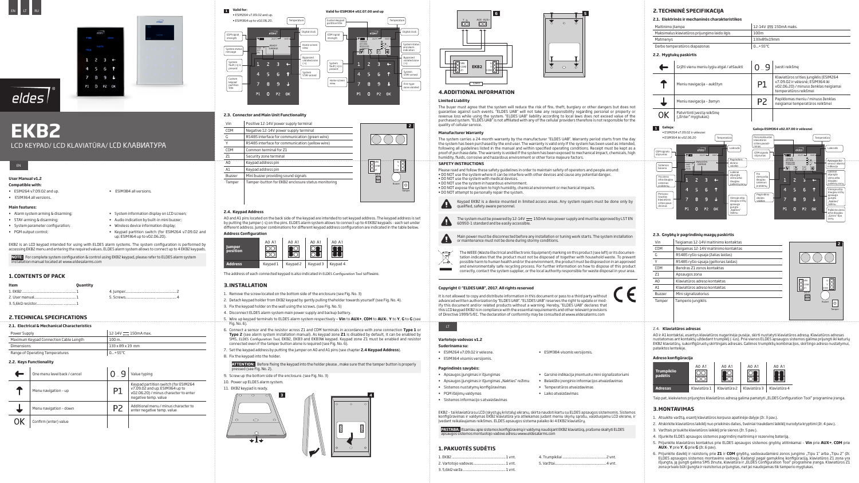# **EKB2**

LCD KEYPAD/ LCD KLAVIATŪRA/ LCD КЛАВИАТУРА





# eldes

# **User Manual v1.2**

## **Compatible with:**

- ESIM264 v7.09.02 and up.
- ESIM364 all versions.

• ESIM384 all versions.

# **Main features:**

- Alarm system arming & disarming;
- STAY-arming & disarming;
- System parameter configuration;
- PGM output control;
- System information display on LCD screen; • Audio indication by built-in mini buzzer;
- Wireless device information display;
- Keypad partition switch (for ESIM264 v7.09.02 and up; ESIM364 up to v02.06.20).

EKB2 is an LCD keypad intended for using with ELDES alarm systems. The system configuration is performed by accessing EKB2 menu and entering the required values. ELDES alarm system allows to connect up to 4 EKB2 keypads.

**NOTE:** For complete system configuration & control using EKB2 keypad, please refer to ELDES alarm system installation manual located at www.eldesalarms.com

# **1. CONTENTS OF PACK**

| Item | <b>Quantity</b> |  |
|------|-----------------|--|
|      |                 |  |
|      |                 |  |
|      |                 |  |

# **2.TECHNICAL SPECIFICATIONS**

| 2.1. Electrical & Mechanical Characteristics |                       |  |
|----------------------------------------------|-----------------------|--|
| Power Supply                                 | $12-14V$ = 150mA max. |  |
| Maximum Keypad Connection Cable Length       | $100m$ .              |  |
| Dimensions                                   | 133 x 89 x 19 mm      |  |

Range of Operating Temperatures  $\vert$  0...+55°C

# **2.2. Keys Functionality**

| One menu level back / cancel |    | Value typing                                                                                                                            |
|------------------------------|----|-----------------------------------------------------------------------------------------------------------------------------------------|
| Menu navigation - up         | P1 | Keypad partition switch (for ESIM264<br>v7.09.02 and up; ESIM364 up to<br>v02.06.20) / minus character to enter<br>negative temp. value |
| Menu navigation - down       | P2 | Additional menu / minus character to<br>enter negative temp. value                                                                      |
| Confirm (enter) value        |    |                                                                                                                                         |

# **Vartotojo vadovas v1.2**

# **Suderinama su:**

- ESIM264 v7.09.02 ir vėlesne.
- ESIM364 visomis versijomis.

• ESIM384 visomis versijomis.

# **Pagrindinės savybės:**

- Apsaugos įjungimas ir išjungimas
- Apsaugos įjungimas ir išjungimas "Nakties" režimu
- Sistemos nustatymų konfigūravimas • PGM išėjimų valdymas
- Sistemos informacijo s atvaizdavimas
- 

• Garsinė indikacija įmontuotu mini signalizatoriumi

• Belaidžio įrenginio informacijos atvaizdavimas • Temperatūros atvaizdavimas

• Laiko atvaizdavimas

EKB2 – tai klaviatūra su LCD (skystųjų kristalų) ekranu, skirta naudoti kartu su ELDES apsaugos sistemomis. Sistemos konfigūravimas ir valdymas EKB2 klaviatūra yra atliekamas judant meniu skyrių sąrašu, vaizduojamu LCD ekrane, ir įvedant reikalaujamas reikšmes. ELDES apsaugos sistema palaiko iki 4 EKB2 klaviatūrų.

**PASTABA:** Išsamiau apie sistemos konfigūravimą ir valdymą naudojant EKB2 klaviatūrą, prašome skaityti ELDES apsaugos sistemos montuotojo vadove adresu www.eldesalarms.com

# **1.PAKUOTĖS SUDĖTIS**

| 4. Trumpikliai |
|----------------|
| 5. Varžtaj     |
|                |



### **2.3. Connector and Main Unit Functionality**



| Vin            | Positive 12-14V power supply terminal              |                     |
|----------------|----------------------------------------------------|---------------------|
| COM            | Negative 12-14V power supply terminal              |                     |
| G              | RS485 interface for communication (green wire)     |                     |
| Y              | RS485 interface for communication (yellow wire)    |                     |
| COM            | Common terminal for Z1                             |                     |
| 71             | Security zone terminal                             |                     |
| A <sub>0</sub> | Keypad address pin                                 | VIN                 |
| A1             | Keypad address pin                                 | COM                 |
| Buzzer         | Mini buzzer providing sound signals                | A0A                 |
| Tamper         | Tamper-button for EKB2 enclosure status monitoring | $\overline{\infty}$ |
|                |                                                    |                     |

## **2.4. Keypad Address**

A0 and A1 pins located on the back side of the keypad are intended to set keypad address. The keypad address is set by putting the jumper (-s) on the pins. ELDES alarm system allows to connect up to 4 EKB2 keypads - each set under different address. Jumper combinations for different keypad address configuration are indicated in the table below. **Address Configuration**



The address of each connected keypad is also indicated in ELDES Configuration Tool software.

# **3.INSTALLATION**

Patvirtinti įvestą reikšmę 0K ("Enter" mygtukas)

- 1. Remove the screw located on the bottom side of the enclosure (see Fig. No. 3)
- 2. Detach keypad holder from EKB2 keypad by gently pulling theholder towards yourself (see Fig. No. 4).
- 3. Fix the keypad holder on the wall using the screws. (see Fig. No. 5)
- 4. Disconnect ELDES alarm system main power supply and backup battery.
- 5. Wire up keypad terminals to ELDES alarm system respectively  **Vin** to **AUX+**, **COM** to **AUX-**, **Y** to **Y**, **G** to **G** (see Fig. No. 6).
- 6. Connect a sensor and the resistor across Z1 and COM terminals in accordance with zone connection **Type 1** or **Type 2** (see alarm system installation manual). As keypad zone **Z1** is disabled by default, it can be enabled by SMS, ELDES Configuration Tool, EKB2, EKB3 and EKB3W keypad. Keypad zone Z1 must be enabled and resistor connected even if the tamper button alone is required (see Fig. No. 6).
- 7. Set the keypad address by putting the jumper on A0 and A1 pins (see chapter **2.4 Keypad Address**).
- 8. Fix the keypad into the holder.

- 1. Atsukite varžtą, esantį klaviatūros korpuso apatinėje dalyje (žr. 3 pav.).
- 2. Atskirkite klaviatūros laikiklį nuo priekinės dalies, švelniai traukdami laikiklį nurodyta kryptimi (žr. 4 pav.).
- 3. Varžtais prisukite klaviatūros laikiklį prie sienos (žr. 5 pav.).
- 4. Išjunkite ELDES apsaugos sistemos pagrindinį maitinimą ir rezervinę bateriją.
- 5. Prijunkite klaviatūros kontaktus prie ELDES apsaugos sistemos gnybtų atitinkamai **Vin** prie **AUX+**, **COM** prie **AUX-**, **Y** prie **Y**, **G** prie **G** (žr. 6 pav).
- 6. Prijunkite daviklį ir rezistorių prie **Z1** ir **COM** gnybtų, vadovaudamiesi zonos jungimo "Tipu 1" arba "Tipu 2" (žr. ELDES apsaugos sistemos montavimo vadovą). Kadangi pagal gamyklinę konfigūraciją, klaviatūros Z1 zona yra<br>išjungta, ją įjungti galima SMS žinute, klaviatūra ir "ELDES Configuration Tool" programine įranga. Klaviatūros Z1<br>z

**ATTENTION:** Before fixing the keypad into the holder please , make sure that the tamper button is properly pressed (see Fig. No. 2).

- 9. Screw up the bottom side of the enclosure. (see Fig. No. 3)
- 10. Power up ELDES alarm system.
- 11. EKB2 keypad is ready.







# **4.ADDITIONAL INFORMATION**

#### **Limited Liability**

The buyer must agree that the system will reduce the risk of fire, theft, burglary or other dangers but does not guarantee against such events. "ELDES UAB" will not take any responsibility regarding personal or property or revenue loss while using the system. "ELDES UAB" liability according to local laws does not exceed value of the purchased system. "ELDES UAB" is not affiliated with any of the cellular providers therefore is not responsible for the quality of cellular service.

#### **Manufacturer Warranty**

The system carries a 24-month warranty by the manufacturer "ELDES UAB". Warranty period starts from the day the system has been purchased by the end user. The warranty is valid only if the system has been used as intended,<br>following all guidelines listed in the manual and within specified operating conditions. Receipt must be ke proof of purchase date. The warranty is voided if the system has been exposed to mechanical impact, chemicals, high humidity, fluids, corrosive and hazardous environment or other force majeure factors. **SAFETY INSTRUCTIONS** 

- Please read and follow these safety guidelines in order to maintain safety of operators and people around: • DO NOT use the system where it can be interfere with other devices and cause any potential danger. • DO NOT use the system with medical devices.
- DO NOT use the system in hazardous environment.
- DO NOT expose the system to high humidity, chemical environment or mechanical impacts. • DO NOT attempt to personally repair the system.
- Keypad EKB2 is a device mounted in limited access areas. Any system repairs must be done only by qualified, safety aware personnel.
- The system must be powered by  $12-14V$   $\equiv$  150mA max power supply and must be approved by LST EN 60950-1 standard and be easily accessible.





The WEEE (Waste Electrical and Electronic Equipment) marking on this product (see left) or its documen-YÐ tation indicates that the product must not be disposed of together with household waste. To prevent possible harm to human health and/or the environment, the product must be disposed on in an approved and environmentally safe recycling process. For further information on how to dispose of this product correctly, contact the system supplier, or the local authority responsible for waste disposal in your area.

# **Copyright © "ELDES UAB", 2017. All rights reserved**

It is not allowed to copy and distribute information in this document or pass to a third party without advanced written authorization by "ELDES UAB". "ELSDES UAB" reserves the right to update or modify this document and/or related products without a warning. Hereby, "ELDES UAB" declares that this LCD keypad EKB2 is in compliance with the essential requirements and other relevant provisions of Directive 1999/5/EC. The declaration of conformity may be consulted at www.eldesalarms.com



# **2.TECHNINĖ SPECIFIKACIJA**

# **2.1. Elektrinės ir mechaninės charakteristikos**

|                  | 2.1. EIPKITUIPS II MPCHAMMPS CHARAKTPITSIIKOS |                             |                                                                                                                                              |  |
|------------------|-----------------------------------------------|-----------------------------|----------------------------------------------------------------------------------------------------------------------------------------------|--|
| Maitinimo itampa |                                               | 12-14V $\equiv$ 150mA maks. |                                                                                                                                              |  |
|                  | Maksimalus klaviatūros prijungimo laido ilgis | 100m                        |                                                                                                                                              |  |
| Matmenys         |                                               | 133x89x19mm                 |                                                                                                                                              |  |
|                  | Darbo temperatūros diapazonas                 | $0+55^{\circ}C$             |                                                                                                                                              |  |
|                  | 2.2. Mygtukų paskirtis                        |                             |                                                                                                                                              |  |
|                  | Grįžti vienu meniu lygiu atgal / atšaukti     |                             | Jvesti reikšme                                                                                                                               |  |
|                  | Meniu navigacija - aukštyn                    | P1                          | Klaviatūros srities jungiklis (ESIM264<br>v7.09.02 ir vėlesnė: ESIM364 iki<br>v02.06.20) / minuso ženklas neigiamai<br>temperatūros reikšmei |  |
|                  | Meniu navigacija - žemyn                      |                             | Papildomas meniu / minuso ženklas<br>neigiamai temperatūros reikšmei                                                                         |  |

| GSM signalo<br>stiprumas                          | <b>Y</b> 0000                       |                | eldes<br>$20.2^{\circ}$ C $\rightarrow$ | 0045. | Laikrodis                                          |
|---------------------------------------------------|-------------------------------------|----------------|-----------------------------------------|-------|----------------------------------------------------|
| Sistemos<br>būsena                                | NAKT <sup>'</sup><br>7 ATI<br>·PROB |                | PARUOŠTA<br>GARAGE                      |       | Pagrindinis.<br>ekrano<br>vaizdas<br>Laikinai      |
| Yra viena<br>arba daugiau<br>sistemos<br>problemu | 1                                   | $\overline{c}$ | З                                       |       | atjungta<br>viena arba<br>daugiau<br>pažeistų zonų |
| Persona-                                          | 4                                   | 5              | 6                                       |       |                                                    |
| lizuotas<br>klaviatūros<br>srities pava-          |                                     | 8              | $\mathbf{q}$                            |       | Vienoje arba<br>daugiau sričių<br>apsauga          |
| dinimas                                           | P1                                  | ∩              | P <sub>2</sub>                          | OK    | jjungta<br>"Nakties"<br>režimu                     |

Temperatūra

#### Galioja ESIM<del>364 v02.07.00 ir vėles</del>n



# **1 Galioja:**

• ESIM264 v7.09.02 ir vėlesnei • ESIM364 iki v02.06.20

#### **2.3. Gnybtų ir pagrindinių mazgų paskirtis**

| Vin            | Teigiamas 12-14V maitinimo kontaktas | 2                                                       |
|----------------|--------------------------------------|---------------------------------------------------------|
| COM            | Neigamas 12-14V maitinimo kontaktas  |                                                         |
| G              | RS485 ryšio sąsaja (žalias laidas)   |                                                         |
| Y              | RS485 ryšio sąsaja (geltonas laidas) |                                                         |
| COM            | Bendras Z1 zonos kontaktas           |                                                         |
| Z1             | Apsaugos zona                        |                                                         |
| A <sub>0</sub> | Klaviatūros adreso kontaktas         | NIV IC<br>G                                             |
| A1             | Klaviatūros adreso kontaktas         | COM<br>COM                                              |
| Buzzer         | Mini signalizatorius                 | $\begin{array}{c}\n 0.04 \\ 0.04 \\ 0.00\n \end{array}$ |
| Tamper         | Tamperio jungiklis                   | Buzzer<br>C                                             |
|                |                                      | Tamper                                                  |
|                |                                      |                                                         |

#### 2.4. **Klaviatūros adresas**

A0 ir A1 kontaktai, esantys klaviatūros nugarinėje pusėje, skirti nustatyti klaviatūros adresą. Klaviatūros adresas nustatomas ant kontaktų uždedant trumpiklį (-ius). Prie vienos ELDES apsaugos sistemos galima prijungti iki keturių EKB2 klaviatūrų, sukonfigūruotų skirtingais adresais. Galimos trumpiklių kombinacijos, skirtingo adreso nustatymui, pateiktos lentelėje.

#### **Adreso konfigūracija**



Taip pat, kiekvienos prijungtos klaviatūros adresą galima pamatyti "ELDES Configuration Tool" programine įranga.

# **3.MONTAVIMAS**